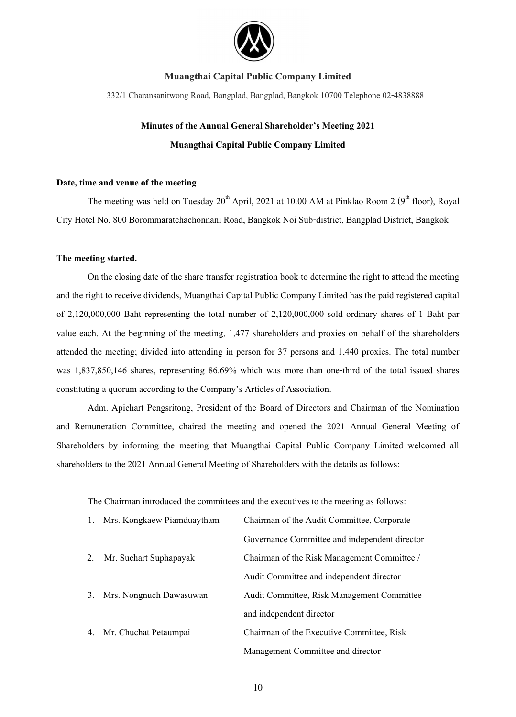

332/1 Charansanitwong Road, Bangplad, Bangplad, Bangkok 10700 Telephone 02-4838888

# **Minutes of the Annual General Shareholder's Meeting 2021 Muangthai Capital Public Company Limited**

#### **Date, time and venue of the meeting**

The meeting was held on Tuesday  $20^{th}$  April, 2021 at 10.00 AM at Pinklao Room 2 ( $9^{th}$  floor), Royal City Hotel No. 800 Borommaratchachonnani Road, Bangkok Noi Sub-district, Bangplad District, Bangkok

#### **The meeting started.**

On the closing date of the share transfer registration book to determine the right to attend the meeting and the right to receive dividends, Muangthai Capital Public Company Limited has the paid registered capital of 2,120,000,000 Baht representing the total number of 2,120,000,000 sold ordinary shares of 1 Baht par value each. At the beginning of the meeting, 1,477 shareholders and proxies on behalf of the shareholders attended the meeting; divided into attending in person for 37 persons and 1,440 proxies. The total number was 1,837,850,146 shares, representing 86.69% which was more than one-third of the total issued shares constituting a quorum according to the Company's Articles of Association.

 Adm. Apichart Pengsritong, President of the Board of Directors and Chairman of the Nomination and Remuneration Committee, chaired the meeting and opened the 2021 Annual General Meeting of Shareholders by informing the meeting that Muangthai Capital Public Company Limited welcomed all shareholders to the 2021 Annual General Meeting of Shareholders with the details as follows:

The Chairman introduced the committees and the executives to the meeting as follows:

| 1. | Mrs. Kongkaew Piamduaytham | Chairman of the Audit Committee, Corporate    |
|----|----------------------------|-----------------------------------------------|
|    |                            | Governance Committee and independent director |
| 2. | Mr. Suchart Suphapayak     | Chairman of the Risk Management Committee /   |
|    |                            | Audit Committee and independent director      |
| 3. | Mrs. Nongnuch Dawasuwan    | Audit Committee, Risk Management Committee    |
|    |                            | and independent director                      |
| 4. | Mr. Chuchat Petaumpai      | Chairman of the Executive Committee, Risk     |
|    |                            | Management Committee and director             |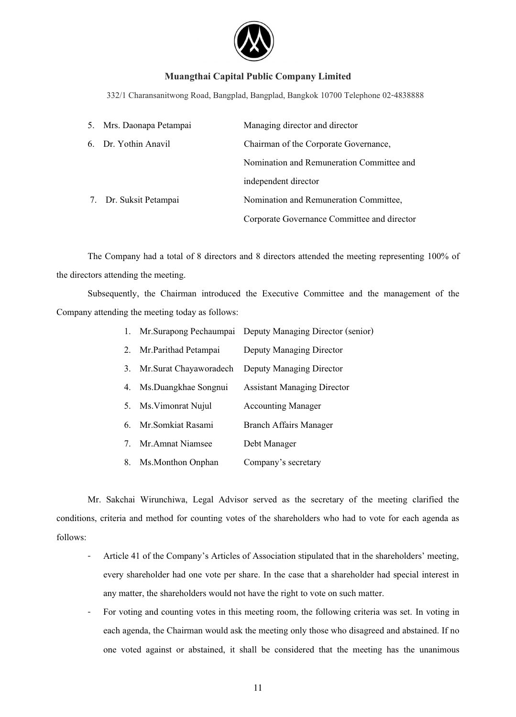

332/1 Charansanitwong Road, Bangplad, Bangplad, Bangkok 10700 Telephone 02-4838888

| 5. Mrs. Daonapa Petampai | Managing director and director              |  |
|--------------------------|---------------------------------------------|--|
| 6. Dr. Yothin Anavil     | Chairman of the Corporate Governance,       |  |
|                          | Nomination and Remuneration Committee and   |  |
|                          | independent director                        |  |
| 7. Dr. Suksit Petampai   | Nomination and Remuneration Committee,      |  |
|                          | Corporate Governance Committee and director |  |

The Company had a total of 8 directors and 8 directors attended the meeting representing 100% of the directors attending the meeting.

Subsequently, the Chairman introduced the Executive Committee and the management of the Company attending the meeting today as follows:

| 1. |                        | Mr. Surapong Pechaumpai Deputy Managing Director (senior) |
|----|------------------------|-----------------------------------------------------------|
| 2. | Mr.Parithad Petampai   | Deputy Managing Director                                  |
| 3. | Mr.Surat Chayaworadech | Deputy Managing Director                                  |
| 4. | Ms.Duangkhae Songnui   | <b>Assistant Managing Director</b>                        |
| 5. | Ms. Vimonrat Nujul     | <b>Accounting Manager</b>                                 |
| 6. | Mr.Somkiat Rasami      | <b>Branch Affairs Manager</b>                             |
| 7. | Mr. Amnat Niamsee      | Debt Manager                                              |
| 8. | Ms.Monthon Onphan      | Company's secretary                                       |

 Mr. Sakchai Wirunchiwa, Legal Advisor served as the secretary of the meeting clarified the conditions, criteria and method for counting votes of the shareholders who had to vote for each agenda as follows:

- Article 41 of the Company's Articles of Association stipulated that in the shareholders' meeting, every shareholder had one vote per share. In the case that a shareholder had special interest in any matter, the shareholders would not have the right to vote on such matter.
- For voting and counting votes in this meeting room, the following criteria was set. In voting in each agenda, the Chairman would ask the meeting only those who disagreed and abstained. If no one voted against or abstained, it shall be considered that the meeting has the unanimous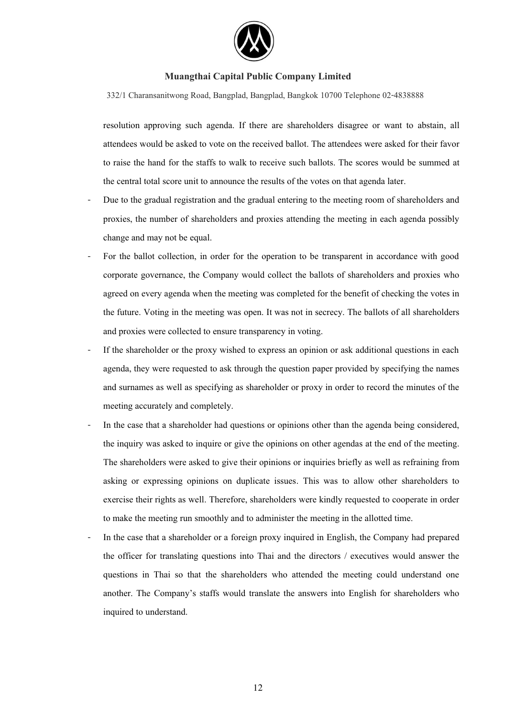

332/1 Charansanitwong Road, Bangplad, Bangplad, Bangkok 10700 Telephone 02-4838888

resolution approving such agenda. If there are shareholders disagree or want to abstain, all attendees would be asked to vote on the received ballot. The attendees were asked for their favor to raise the hand for the staffs to walk to receive such ballots. The scores would be summed at the central total score unit to announce the results of the votes on that agenda later.

- Due to the gradual registration and the gradual entering to the meeting room of shareholders and proxies, the number of shareholders and proxies attending the meeting in each agenda possibly change and may not be equal.
- For the ballot collection, in order for the operation to be transparent in accordance with good corporate governance, the Company would collect the ballots of shareholders and proxies who agreed on every agenda when the meeting was completed for the benefit of checking the votes in the future. Voting in the meeting was open. It was not in secrecy. The ballots of all shareholders and proxies were collected to ensure transparency in voting.
- If the shareholder or the proxy wished to express an opinion or ask additional questions in each agenda, they were requested to ask through the question paper provided by specifying the names and surnames as well as specifying as shareholder or proxy in order to record the minutes of the meeting accurately and completely.
- In the case that a shareholder had questions or opinions other than the agenda being considered, the inquiry was asked to inquire or give the opinions on other agendas at the end of the meeting. The shareholders were asked to give their opinions or inquiries briefly as well as refraining from asking or expressing opinions on duplicate issues. This was to allow other shareholders to exercise their rights as well. Therefore, shareholders were kindly requested to cooperate in order to make the meeting run smoothly and to administer the meeting in the allotted time.
- In the case that a shareholder or a foreign proxy inquired in English, the Company had prepared the officer for translating questions into Thai and the directors / executives would answer the questions in Thai so that the shareholders who attended the meeting could understand one another. The Company's staffs would translate the answers into English for shareholders who inquired to understand.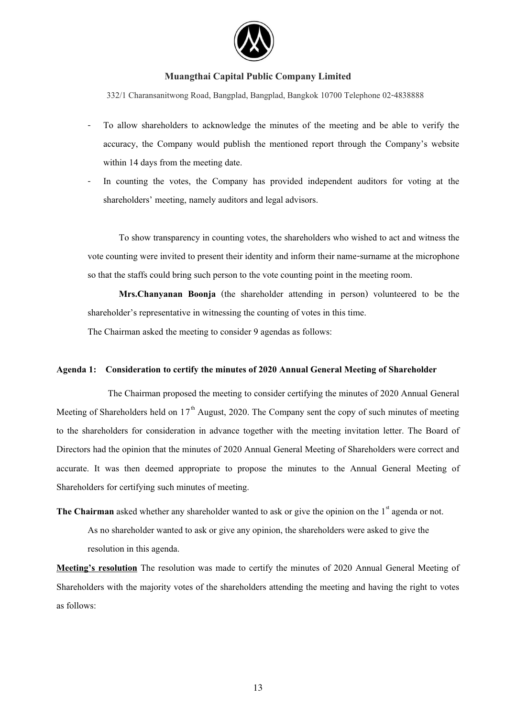

332/1 Charansanitwong Road, Bangplad, Bangplad, Bangkok 10700 Telephone 02-4838888

- To allow shareholders to acknowledge the minutes of the meeting and be able to verify the accuracy, the Company would publish the mentioned report through the Company's website within 14 days from the meeting date.
- In counting the votes, the Company has provided independent auditors for voting at the shareholders' meeting, namely auditors and legal advisors.

To show transparency in counting votes, the shareholders who wished to act and witness the vote counting were invited to present their identity and inform their name-surname at the microphone so that the staffs could bring such person to the vote counting point in the meeting room.

**Mrs.Chanyanan Boonja** (the shareholder attending in person) volunteered to be the shareholder's representative in witnessing the counting of votes in this time.

The Chairman asked the meeting to consider 9 agendas as follows:

#### **Agenda 1: Consideration to certify the minutes of 2020 Annual General Meeting of Shareholder**

 The Chairman proposed the meeting to consider certifying the minutes of 2020 Annual General Meeting of Shareholders held on  $17<sup>th</sup>$  August, 2020. The Company sent the copy of such minutes of meeting to the shareholders for consideration in advance together with the meeting invitation letter. The Board of Directors had the opinion that the minutes of 2020 Annual General Meeting of Shareholders were correct and accurate. It was then deemed appropriate to propose the minutes to the Annual General Meeting of Shareholders for certifying such minutes of meeting.

**The Chairman** asked whether any shareholder wanted to ask or give the opinion on the 1<sup>st</sup> agenda or not.

As no shareholder wanted to ask or give any opinion, the shareholders were asked to give the resolution in this agenda.

**Meeting's resolution** The resolution was made to certify the minutes of 2020 Annual General Meeting of Shareholders with the majority votes of the shareholders attending the meeting and having the right to votes as follows: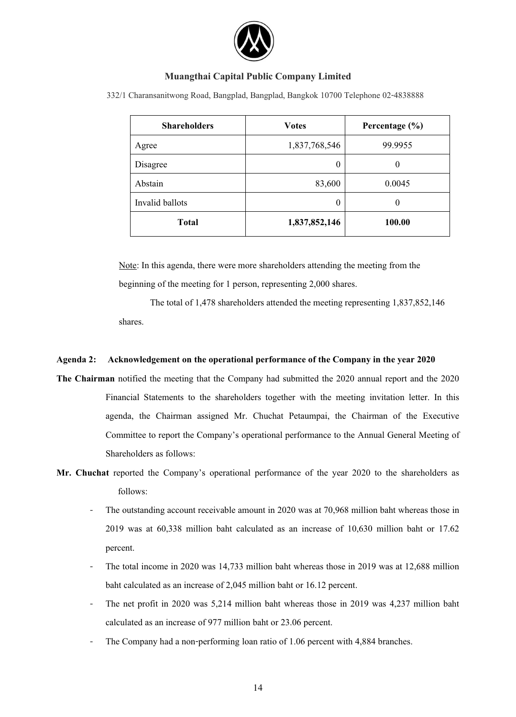

332/1 Charansanitwong Road, Bangplad, Bangplad, Bangkok 10700 Telephone 02-4838888

| <b>Shareholders</b> | <b>Votes</b>  | Percentage $(\% )$ |
|---------------------|---------------|--------------------|
| Agree               | 1,837,768,546 | 99.9955            |
| Disagree            | 0             | 0                  |
| Abstain             | 83,600        | 0.0045             |
| Invalid ballots     | 0             | 0                  |
| <b>Total</b>        | 1,837,852,146 | 100.00             |

Note: In this agenda, there were more shareholders attending the meeting from the beginning of the meeting for 1 person, representing 2,000 shares.

The total of 1,478 shareholders attended the meeting representing 1,837,852,146 shares.

# **Agenda 2: Acknowledgement on the operational performance of the Company in the year 2020**

- **The Chairman** notified the meeting that the Company had submitted the 2020 annual report and the 2020 Financial Statements to the shareholders together with the meeting invitation letter. In this agenda, the Chairman assigned Mr. Chuchat Petaumpai, the Chairman of the Executive Committee to report the Company's operational performance to the Annual General Meeting of Shareholders as follows:
- **Mr. Chuchat** reported the Company's operational performance of the year 2020 to the shareholders as follows:
	- The outstanding account receivable amount in 2020 was at 70,968 million baht whereas those in 2019 was at 60,338 million baht calculated as an increase of 10,630 million baht or 17.62 percent.
	- The total income in 2020 was 14,733 million baht whereas those in 2019 was at 12,688 million baht calculated as an increase of 2,045 million baht or 16.12 percent.
	- The net profit in 2020 was 5,214 million baht whereas those in 2019 was 4,237 million baht calculated as an increase of 977 million baht or 23.06 percent.
	- The Company had a non-performing loan ratio of 1.06 percent with 4,884 branches.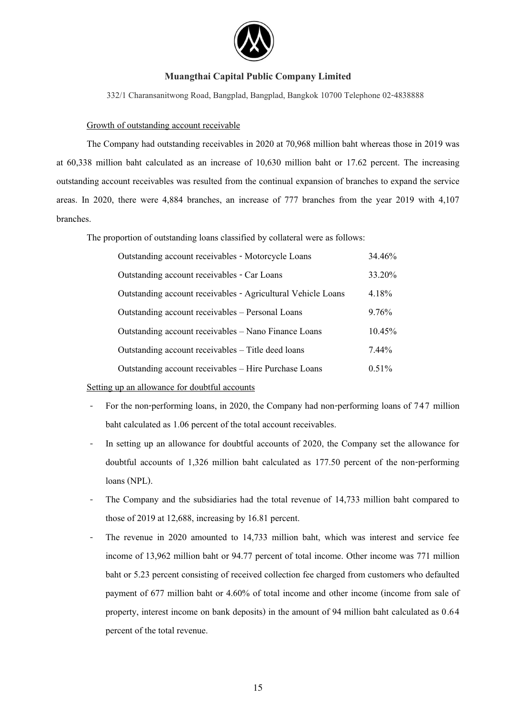

332/1 Charansanitwong Road, Bangplad, Bangplad, Bangkok 10700 Telephone 02-4838888

#### Growth of outstanding account receivable

The Company had outstanding receivables in 2020 at 70,968 million baht whereas those in 2019 was at 60,338 million baht calculated as an increase of 10,630 million baht or 17.62 percent. The increasing outstanding account receivables was resulted from the continual expansion of branches to expand the service areas. In 2020, there were 4,884 branches, an increase of 777 branches from the year 2019 with 4,107 branches.

The proportion of outstanding loans classified by collateral were as follows:

| Outstanding account receivables - Motorcycle Loans           | 34.46%    |
|--------------------------------------------------------------|-----------|
| Outstanding account receivables - Car Loans                  | 33.20%    |
| Outstanding account receivables - Agricultural Vehicle Loans | $4.18\%$  |
| Outstanding account receivables – Personal Loans             | 9.76%     |
| Outstanding account receivables – Nano Finance Loans         | $10.45\%$ |
| Outstanding account receivables – Title deed loans           | $7.44\%$  |
| Outstanding account receivables – Hire Purchase Loans        | $0.51\%$  |

Setting up an allowance for doubtful accounts

- For the non-performing loans, in 2020, the Company had non-performing loans of 747 million baht calculated as 1.06 percent of the total account receivables.
- In setting up an allowance for doubtful accounts of 2020, the Company set the allowance for doubtful accounts of 1,326 million baht calculated as 177.50 percent of the non-performing loans (NPL).
- The Company and the subsidiaries had the total revenue of 14,733 million baht compared to those of 2019 at 12,688, increasing by 16.81 percent.
- The revenue in 2020 amounted to 14,733 million baht, which was interest and service fee income of 13,962 million baht or 94.77 percent of total income. Other income was 771 million baht or 5.23 percent consisting of received collection fee charged from customers who defaulted payment of 677 million baht or 4.60% of total income and other income (income from sale of property, interest income on bank deposits) in the amount of 94 million baht calculated as 0.64 percent of the total revenue.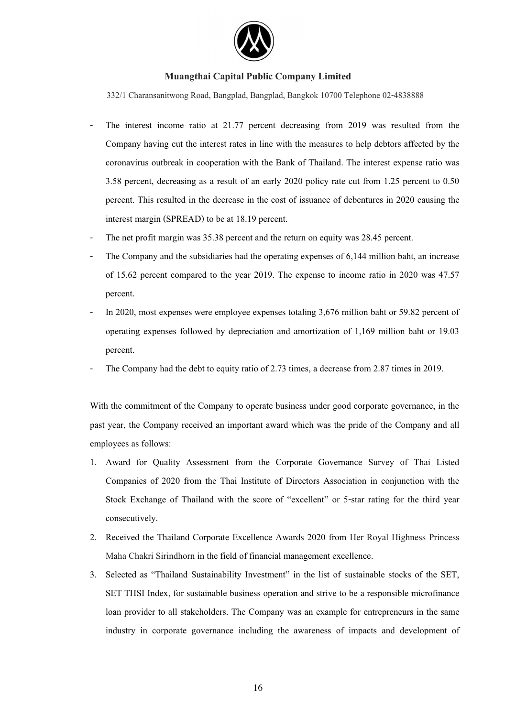

332/1 Charansanitwong Road, Bangplad, Bangplad, Bangkok 10700 Telephone 02-4838888

- The interest income ratio at 21.77 percent decreasing from 2019 was resulted from the Company having cut the interest rates in line with the measures to help debtors affected by the coronavirus outbreak in cooperation with the Bank of Thailand. The interest expense ratio was 3.58 percent, decreasing as a result of an early 2020 policy rate cut from 1.25 percent to 0.50 percent. This resulted in the decrease in the cost of issuance of debentures in 2020 causing the interest margin (SPREAD) to be at 18.19 percent.
- The net profit margin was 35.38 percent and the return on equity was 28.45 percent.
- The Company and the subsidiaries had the operating expenses of 6,144 million baht, an increase of 15.62 percent compared to the year 2019. The expense to income ratio in 2020 was 47.57 percent.
- In 2020, most expenses were employee expenses totaling 3,676 million baht or 59.82 percent of operating expenses followed by depreciation and amortization of 1,169 million baht or 19.03 percent.
- The Company had the debt to equity ratio of 2.73 times, a decrease from 2.87 times in 2019.

With the commitment of the Company to operate business under good corporate governance, in the past year, the Company received an important award which was the pride of the Company and all employees as follows:

- 1. Award for Quality Assessment from the Corporate Governance Survey of Thai Listed Companies of 2020 from the Thai Institute of Directors Association in conjunction with the Stock Exchange of Thailand with the score of "excellent" or 5-star rating for the third year consecutively.
- 2. Received the Thailand Corporate Excellence Awards 2020 from Her Royal Highness Princess Maha Chakri Sirindhorn in the field of financial management excellence.
- 3. Selected as "Thailand Sustainability Investment" in the list of sustainable stocks of the SET, SET THSI Index, for sustainable business operation and strive to be a responsible microfinance loan provider to all stakeholders. The Company was an example for entrepreneurs in the same industry in corporate governance including the awareness of impacts and development of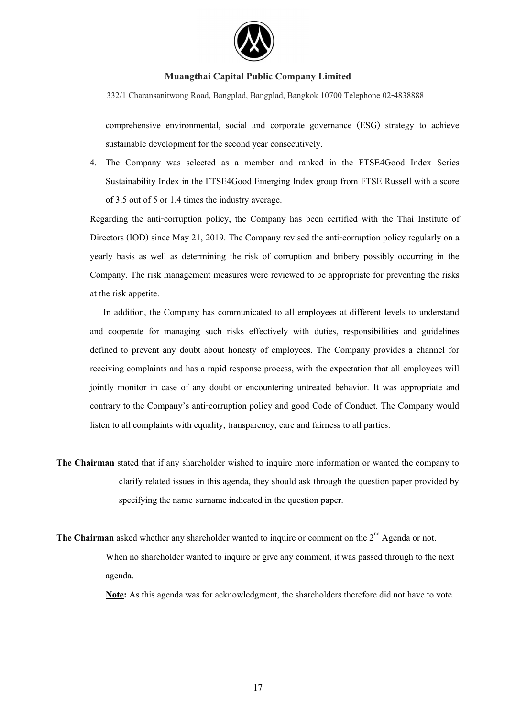

332/1 Charansanitwong Road, Bangplad, Bangplad, Bangkok 10700 Telephone 02-4838888

comprehensive environmental, social and corporate governance (ESG) strategy to achieve sustainable development for the second year consecutively.

4. The Company was selected as a member and ranked in the FTSE4Good Index Series Sustainability Index in the FTSE4Good Emerging Index group from FTSE Russell with a score of 3.5 out of 5 or 1.4 times the industry average.

Regarding the anti-corruption policy, the Company has been certified with the Thai Institute of Directors (IOD) since May 21, 2019. The Company revised the anti-corruption policy regularly on a yearly basis as well as determining the risk of corruption and bribery possibly occurring in the Company. The risk management measures were reviewed to be appropriate for preventing the risks at the risk appetite.

In addition, the Company has communicated to all employees at different levels to understand and cooperate for managing such risks effectively with duties, responsibilities and guidelines defined to prevent any doubt about honesty of employees. The Company provides a channel for receiving complaints and has a rapid response process, with the expectation that all employees will jointly monitor in case of any doubt or encountering untreated behavior. It was appropriate and contrary to the Company's anti-corruption policy and good Code of Conduct. The Company would listen to all complaints with equality, transparency, care and fairness to all parties.

- **The Chairman** stated that if any shareholder wished to inquire more information or wanted the company to clarify related issues in this agenda, they should ask through the question paper provided by specifying the name-surname indicated in the question paper.
- **The Chairman** asked whether any shareholder wanted to inquire or comment on the  $2<sup>nd</sup>$  Agenda or not. When no shareholder wanted to inquire or give any comment, it was passed through to the next agenda.

**Note:** As this agenda was for acknowledgment, the shareholders therefore did not have to vote.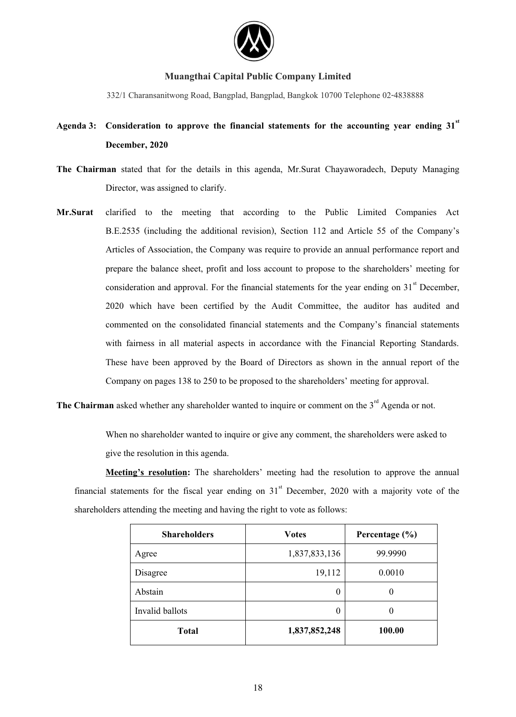

332/1 Charansanitwong Road, Bangplad, Bangplad, Bangkok 10700 Telephone 02-4838888

# Agenda 3: Consideration to approve the financial statements for the accounting year ending 31<sup>st</sup> **December, 2020**

- **The Chairman** stated that for the details in this agenda, Mr.Surat Chayaworadech, Deputy Managing Director, was assigned to clarify.
- **Mr.Surat** clarified to the meeting that according to the Public Limited Companies Act B.E.2535 (including the additional revision), Section 112 and Article 55 of the Company's Articles of Association, the Company was require to provide an annual performance report and prepare the balance sheet, profit and loss account to propose to the shareholders' meeting for consideration and approval. For the financial statements for the year ending on  $31<sup>st</sup>$  December, 2020 which have been certified by the Audit Committee, the auditor has audited and commented on the consolidated financial statements and the Company's financial statements with fairness in all material aspects in accordance with the Financial Reporting Standards. These have been approved by the Board of Directors as shown in the annual report of the Company on pages 138 to 250 to be proposed to the shareholders' meeting for approval.

The Chairman asked whether any shareholder wanted to inquire or comment on the 3<sup>rd</sup> Agenda or not.

When no shareholder wanted to inquire or give any comment, the shareholders were asked to give the resolution in this agenda.

**Meeting's resolution:** The shareholders' meeting had the resolution to approve the annual financial statements for the fiscal year ending on  $31<sup>st</sup>$  December, 2020 with a majority vote of the shareholders attending the meeting and having the right to vote as follows:

| <b>Shareholders</b> | <b>Votes</b>  | Percentage $(\% )$ |
|---------------------|---------------|--------------------|
| Agree               | 1,837,833,136 | 99.9990            |
| Disagree            | 19,112        | 0.0010             |
| Abstain             | $\theta$      | 0                  |
| Invalid ballots     | $\theta$      | 0                  |
| <b>Total</b>        | 1,837,852,248 | 100.00             |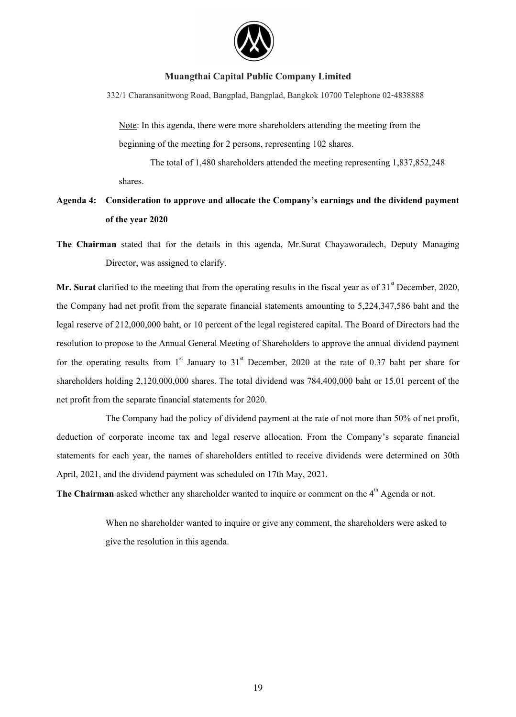

332/1 Charansanitwong Road, Bangplad, Bangplad, Bangkok 10700 Telephone 02-4838888

Note: In this agenda, there were more shareholders attending the meeting from the beginning of the meeting for 2 persons, representing 102 shares.

The total of 1,480 shareholders attended the meeting representing 1,837,852,248 shares.

# **Agenda 4: Consideration to approve and allocate the Company's earnings and the dividend payment of the year 2020**

**The Chairman** stated that for the details in this agenda, Mr.Surat Chayaworadech, Deputy Managing Director, was assigned to clarify.

**Mr. Surat** clarified to the meeting that from the operating results in the fiscal year as of  $31<sup>st</sup>$  December, 2020, the Company had net profit from the separate financial statements amounting to 5,224,347,586 baht and the legal reserve of 212,000,000 baht, or 10 percent of the legal registered capital. The Board of Directors had the resolution to propose to the Annual General Meeting of Shareholders to approve the annual dividend payment for the operating results from  $1<sup>st</sup>$  January to  $31<sup>st</sup>$  December, 2020 at the rate of 0.37 baht per share for shareholders holding 2,120,000,000 shares. The total dividend was 784,400,000 baht or 15.01 percent of the net profit from the separate financial statements for 2020.

 The Company had the policy of dividend payment at the rate of not more than 50% of net profit, deduction of corporate income tax and legal reserve allocation. From the Company's separate financial statements for each year, the names of shareholders entitled to receive dividends were determined on 30th April, 2021, and the dividend payment was scheduled on 17th May, 2021.

The Chairman asked whether any shareholder wanted to inquire or comment on the 4<sup>th</sup> Agenda or not.

When no shareholder wanted to inquire or give any comment, the shareholders were asked to give the resolution in this agenda.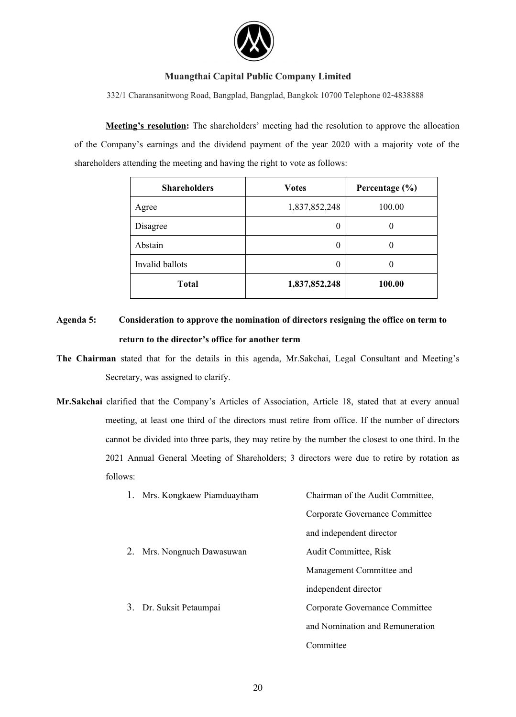

332/1 Charansanitwong Road, Bangplad, Bangplad, Bangkok 10700 Telephone 02-4838888

**Meeting's resolution:** The shareholders' meeting had the resolution to approve the allocation of the Company's earnings and the dividend payment of the year 2020 with a majority vote of the shareholders attending the meeting and having the right to vote as follows:

| <b>Shareholders</b> | <b>Votes</b>  | Percentage $(\% )$ |
|---------------------|---------------|--------------------|
| Agree               | 1,837,852,248 | 100.00             |
| Disagree            | 0             |                    |
| Abstain             | 0             |                    |
| Invalid ballots     | 0             |                    |
| <b>Total</b>        | 1,837,852,248 | 100.00             |

**Agenda 5: Consideration to approve the nomination of directors resigning the office on term to return to the director's office for another term** 

**The Chairman** stated that for the details in this agenda, Mr.Sakchai, Legal Consultant and Meeting's Secretary, was assigned to clarify.

**Mr.Sakchai** clarified that the Company's Articles of Association, Article 18, stated that at every annual meeting, at least one third of the directors must retire from office. If the number of directors cannot be divided into three parts, they may retire by the number the closest to one third. In the 2021 Annual General Meeting of Shareholders; 3 directors were due to retire by rotation as follows:

|    | 1. Mrs. Kongkaew Piamduaytham | Chairman of the Audit Committee, |
|----|-------------------------------|----------------------------------|
|    |                               | Corporate Governance Committee   |
|    |                               | and independent director         |
| 2. | Mrs. Nongnuch Dawasuwan       | <b>Audit Committee, Risk</b>     |
|    |                               | Management Committee and         |
|    |                               | independent director             |
|    | 3. Dr. Suksit Petaumpai       | Corporate Governance Committee   |
|    |                               | and Nomination and Remuneration  |
|    |                               | Committee                        |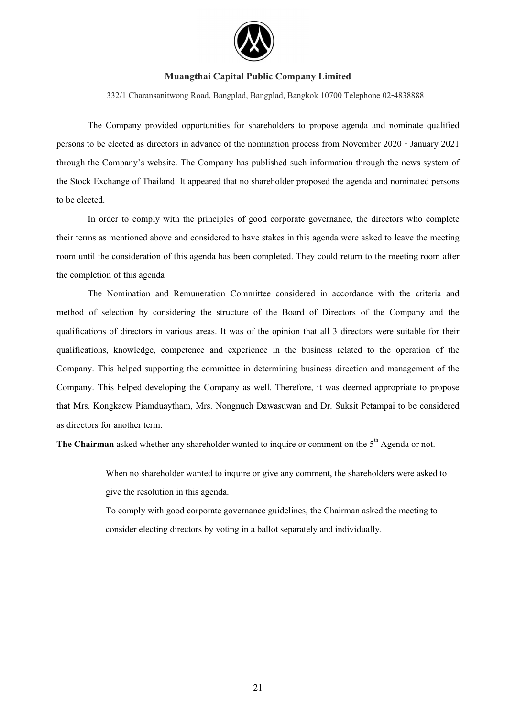

332/1 Charansanitwong Road, Bangplad, Bangplad, Bangkok 10700 Telephone 02-4838888

 The Company provided opportunities for shareholders to propose agenda and nominate qualified persons to be elected as directors in advance of the nomination process from November 2020 - January 2021 through the Company's website. The Company has published such information through the news system of the Stock Exchange of Thailand. It appeared that no shareholder proposed the agenda and nominated persons to be elected.

In order to comply with the principles of good corporate governance, the directors who complete their terms as mentioned above and considered to have stakes in this agenda were asked to leave the meeting room until the consideration of this agenda has been completed. They could return to the meeting room after the completion of this agenda

The Nomination and Remuneration Committee considered in accordance with the criteria and method of selection by considering the structure of the Board of Directors of the Company and the qualifications of directors in various areas. It was of the opinion that all 3 directors were suitable for their qualifications, knowledge, competence and experience in the business related to the operation of the Company. This helped supporting the committee in determining business direction and management of the Company. This helped developing the Company as well. Therefore, it was deemed appropriate to propose that Mrs. Kongkaew Piamduaytham, Mrs. Nongnuch Dawasuwan and Dr. Suksit Petampai to be considered as directors for another term.

**The Chairman** asked whether any shareholder wanted to inquire or comment on the 5<sup>th</sup> Agenda or not.

When no shareholder wanted to inquire or give any comment, the shareholders were asked to give the resolution in this agenda.

To comply with good corporate governance guidelines, the Chairman asked the meeting to consider electing directors by voting in a ballot separately and individually.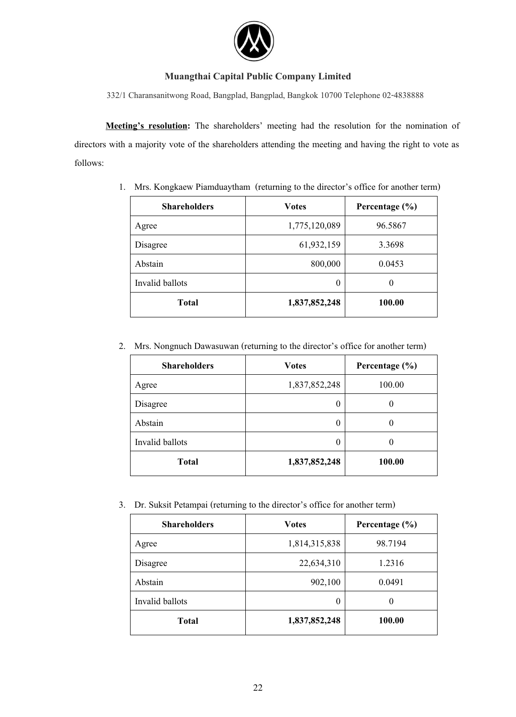

332/1 Charansanitwong Road, Bangplad, Bangplad, Bangkok 10700 Telephone 02-4838888

**Meeting's resolution:** The shareholders' meeting had the resolution for the nomination of directors with a majority vote of the shareholders attending the meeting and having the right to vote as follows:

| <b>Shareholders</b> | <b>Votes</b>  | Percentage $(\% )$ |
|---------------------|---------------|--------------------|
| Agree               | 1,775,120,089 | 96.5867            |
| Disagree            | 61,932,159    | 3.3698             |
| Abstain             | 800,000       | 0.0453             |
| Invalid ballots     | $\theta$      | 0                  |
| <b>Total</b>        | 1,837,852,248 | 100.00             |

1. Mrs. Kongkaew Piamduaytham (returning to the director's office for another term)

2. Mrs. Nongnuch Dawasuwan (returning to the director's office for another term)

| <b>Shareholders</b> | <b>Votes</b>     | Percentage $(\% )$ |
|---------------------|------------------|--------------------|
| Agree               | 1,837,852,248    | 100.00             |
| Disagree            | $\theta$         | $_{0}$             |
| Abstain             | $\boldsymbol{0}$ | 0                  |
| Invalid ballots     | $\theta$         | 0                  |
| <b>Total</b>        | 1,837,852,248    | 100.00             |

3. Dr. Suksit Petampai (returning to the director's office for another term)

| <b>Shareholders</b> | <b>Votes</b>  | Percentage $(\% )$ |
|---------------------|---------------|--------------------|
| Agree               | 1,814,315,838 | 98.7194            |
| Disagree            | 22,634,310    | 1.2316             |
| Abstain             | 902,100       | 0.0491             |
| Invalid ballots     | 0             | $\theta$           |
| <b>Total</b>        | 1,837,852,248 | 100.00             |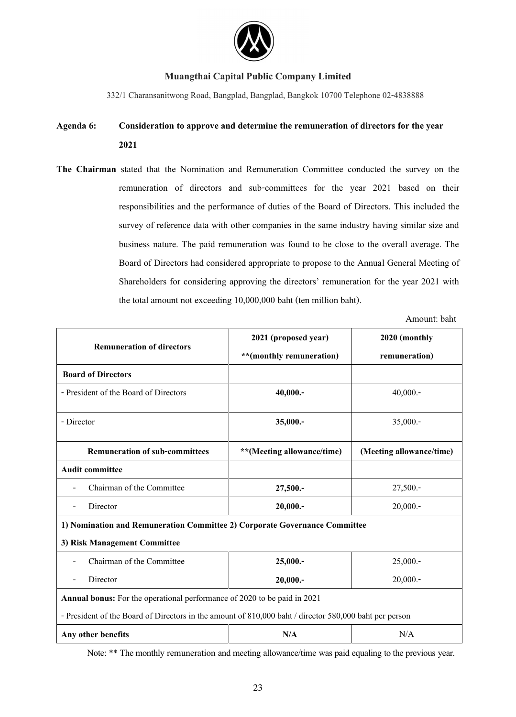

332/1 Charansanitwong Road, Bangplad, Bangplad, Bangkok 10700 Telephone 02-4838888

# **Agenda 6: Consideration to approve and determine the remuneration of directors for the year 2021**

**The Chairman** stated that the Nomination and Remuneration Committee conducted the survey on the remuneration of directors and sub-committees for the year 2021 based on their responsibilities and the performance of duties of the Board of Directors. This included the survey of reference data with other companies in the same industry having similar size and business nature. The paid remuneration was found to be close to the overall average. The Board of Directors had considered appropriate to propose to the Annual General Meeting of Shareholders for considering approving the directors' remuneration for the year 2021 with the total amount not exceeding 10,000,000 baht (ten million baht).

Amount: baht

| <b>Remuneration of directors</b>                                                                       | 2021 (proposed year)       | 2020 (monthly            |  |
|--------------------------------------------------------------------------------------------------------|----------------------------|--------------------------|--|
|                                                                                                        | **(monthly remuneration)   | remuneration)            |  |
| <b>Board of Directors</b>                                                                              |                            |                          |  |
| - President of the Board of Directors                                                                  | 40,000.                    | 40,000.                  |  |
| - Director                                                                                             | 35,000 .-                  | $35,000 -$               |  |
| <b>Remuneration of sub-committees</b>                                                                  | **(Meeting allowance/time) | (Meeting allowance/time) |  |
| <b>Audit committee</b>                                                                                 |                            |                          |  |
| Chairman of the Committee                                                                              | 27,500 .-                  | 27,500.-                 |  |
| Director                                                                                               | 20,000.                    | 20,000.                  |  |
| 1) Nomination and Remuneration Committee 2) Corporate Governance Committee                             |                            |                          |  |
| 3) Risk Management Committee                                                                           |                            |                          |  |
| Chairman of the Committee                                                                              | 25,000.                    | 25,000.                  |  |
| Director                                                                                               | 20,000.                    | 20,000.                  |  |
| <b>Annual bonus:</b> For the operational performance of 2020 to be paid in 2021                        |                            |                          |  |
| - President of the Board of Directors in the amount of 810,000 baht / director 580,000 baht per person |                            |                          |  |
| Any other benefits                                                                                     | N/A                        | N/A                      |  |

Note: \*\* The monthly remuneration and meeting allowance/time was paid equaling to the previous year.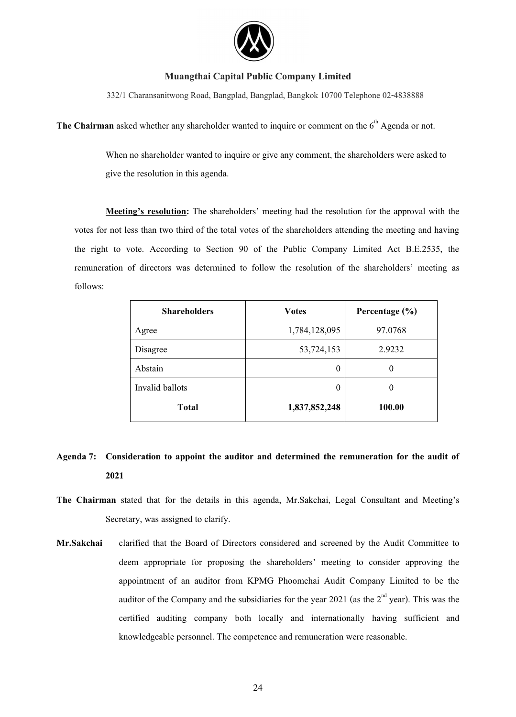

332/1 Charansanitwong Road, Bangplad, Bangplad, Bangkok 10700 Telephone 02-4838888

**The Chairman** asked whether any shareholder wanted to inquire or comment on the  $6<sup>th</sup>$  Agenda or not.

When no shareholder wanted to inquire or give any comment, the shareholders were asked to give the resolution in this agenda.

**Meeting's resolution:** The shareholders' meeting had the resolution for the approval with the votes for not less than two third of the total votes of the shareholders attending the meeting and having the right to vote. According to Section 90 of the Public Company Limited Act B.E.2535, the remuneration of directors was determined to follow the resolution of the shareholders' meeting as follows:

| <b>Shareholders</b> | <b>Votes</b>  | Percentage $(\% )$ |
|---------------------|---------------|--------------------|
| Agree               | 1,784,128,095 | 97.0768            |
| Disagree            | 53,724,153    | 2.9232             |
| Abstain             | 0             |                    |
| Invalid ballots     | 0             |                    |
| <b>Total</b>        | 1,837,852,248 | 100.00             |

# **Agenda 7: Consideration to appoint the auditor and determined the remuneration for the audit of 2021**

- **The Chairman** stated that for the details in this agenda, Mr.Sakchai, Legal Consultant and Meeting's Secretary, was assigned to clarify.
- **Mr.Sakchai** clarified that the Board of Directors considered and screened by the Audit Committee to deem appropriate for proposing the shareholders' meeting to consider approving the appointment of an auditor from KPMG Phoomchai Audit Company Limited to be the auditor of the Company and the subsidiaries for the year 2021 (as the  $2<sup>nd</sup>$  year). This was the certified auditing company both locally and internationally having sufficient and knowledgeable personnel. The competence and remuneration were reasonable.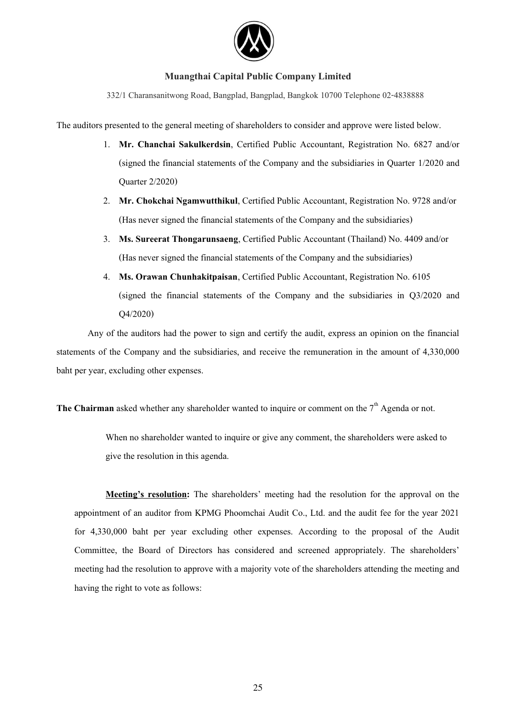

332/1 Charansanitwong Road, Bangplad, Bangplad, Bangkok 10700 Telephone 02-4838888

The auditors presented to the general meeting of shareholders to consider and approve were listed below.

- 1. **Mr. Chanchai Sakulkerdsin**, Certified Public Accountant, Registration No. 6827 and/or (signed the financial statements of the Company and the subsidiaries in Quarter 1/2020 and Quarter 2/2020)
- 2. **Mr. Chokchai Ngamwutthikul**, Certified Public Accountant, Registration No. 9728 and/or (Has never signed the financial statements of the Company and the subsidiaries)
- 3. **Ms. Sureerat Thongarunsaeng**, Certified Public Accountant (Thailand) No. 4409 and/or (Has never signed the financial statements of the Company and the subsidiaries)
- 4. **Ms. Orawan Chunhakitpaisan**, Certified Public Accountant, Registration No. 6105 (signed the financial statements of the Company and the subsidiaries in Q3/2020 and Q4/2020)

Any of the auditors had the power to sign and certify the audit, express an opinion on the financial statements of the Company and the subsidiaries, and receive the remuneration in the amount of 4,330,000 baht per year, excluding other expenses.

**The Chairman** asked whether any shareholder wanted to inquire or comment on the  $7<sup>th</sup>$  Agenda or not.

When no shareholder wanted to inquire or give any comment, the shareholders were asked to give the resolution in this agenda.

**Meeting's resolution:** The shareholders' meeting had the resolution for the approval on the appointment of an auditor from KPMG Phoomchai Audit Co., Ltd. and the audit fee for the year 2021 for 4,330,000 baht per year excluding other expenses. According to the proposal of the Audit Committee, the Board of Directors has considered and screened appropriately. The shareholders' meeting had the resolution to approve with a majority vote of the shareholders attending the meeting and having the right to vote as follows: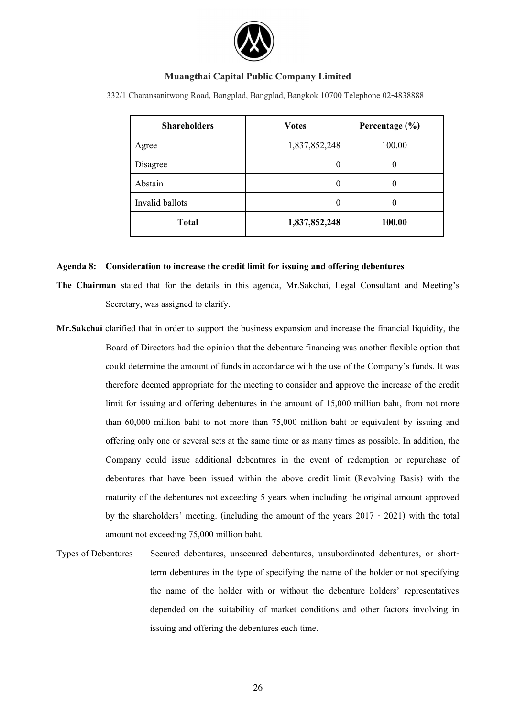

| <b>Shareholders</b> | <b>Votes</b>  | Percentage $(\% )$ |
|---------------------|---------------|--------------------|
| Agree               | 1,837,852,248 | 100.00             |
| Disagree            | O             |                    |
| Abstain             |               |                    |
| Invalid ballots     | O             | $\left( \right)$   |
| <b>Total</b>        | 1,837,852,248 | 100.00             |

332/1 Charansanitwong Road, Bangplad, Bangplad, Bangkok 10700 Telephone 02-4838888

#### **Agenda 8: Consideration to increase the credit limit for issuing and offering debentures**

- **The Chairman** stated that for the details in this agenda, Mr.Sakchai, Legal Consultant and Meeting's Secretary, was assigned to clarify.
- **Mr.Sakchai** clarified that in order to support the business expansion and increase the financial liquidity, the Board of Directors had the opinion that the debenture financing was another flexible option that could determine the amount of funds in accordance with the use of the Company's funds. It was therefore deemed appropriate for the meeting to consider and approve the increase of the credit limit for issuing and offering debentures in the amount of 15,000 million baht, from not more than 60,000 million baht to not more than 75,000 million baht or equivalent by issuing and offering only one or several sets at the same time or as many times as possible. In addition, the Company could issue additional debentures in the event of redemption or repurchase of debentures that have been issued within the above credit limit (Revolving Basis) with the maturity of the debentures not exceeding 5 years when including the original amount approved by the shareholders' meeting. (including the amount of the years 2017 - 2021) with the total amount not exceeding 75,000 million baht.
- Types of Debentures Secured debentures, unsecured debentures, unsubordinated debentures, or shortterm debentures in the type of specifying the name of the holder or not specifying the name of the holder with or without the debenture holders' representatives depended on the suitability of market conditions and other factors involving in issuing and offering the debentures each time.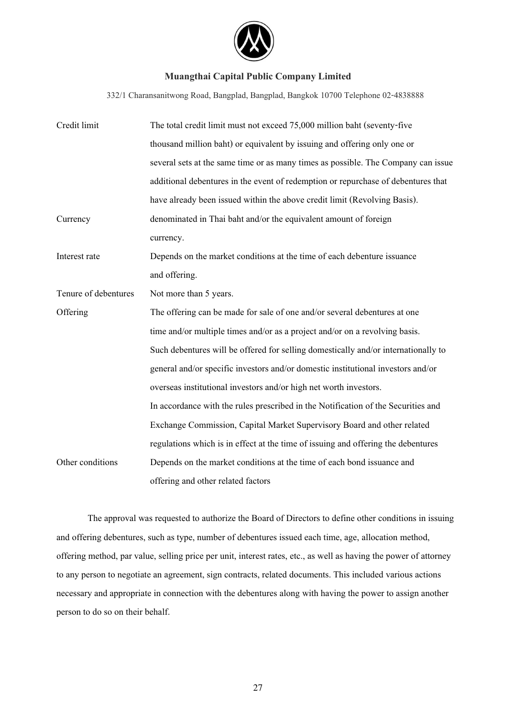

332/1 Charansanitwong Road, Bangplad, Bangplad, Bangkok 10700 Telephone 02-4838888

| Credit limit         | The total credit limit must not exceed 75,000 million baht (seventy-five           |  |  |
|----------------------|------------------------------------------------------------------------------------|--|--|
|                      | thousand million baht) or equivalent by issuing and offering only one or           |  |  |
|                      | several sets at the same time or as many times as possible. The Company can issue  |  |  |
|                      | additional debentures in the event of redemption or repurchase of debentures that  |  |  |
|                      | have already been issued within the above credit limit (Revolving Basis).          |  |  |
| Currency             | denominated in Thai baht and/or the equivalent amount of foreign                   |  |  |
|                      | currency.                                                                          |  |  |
| Interest rate        | Depends on the market conditions at the time of each debenture issuance            |  |  |
|                      | and offering.                                                                      |  |  |
| Tenure of debentures | Not more than 5 years.                                                             |  |  |
| Offering             | The offering can be made for sale of one and/or several debentures at one          |  |  |
|                      | time and/or multiple times and/or as a project and/or on a revolving basis.        |  |  |
|                      | Such debentures will be offered for selling domestically and/or internationally to |  |  |
|                      | general and/or specific investors and/or domestic institutional investors and/or   |  |  |
|                      | overseas institutional investors and/or high net worth investors.                  |  |  |
|                      | In accordance with the rules prescribed in the Notification of the Securities and  |  |  |
|                      | Exchange Commission, Capital Market Supervisory Board and other related            |  |  |
|                      | regulations which is in effect at the time of issuing and offering the debentures  |  |  |
| Other conditions     | Depends on the market conditions at the time of each bond issuance and             |  |  |
|                      | offering and other related factors                                                 |  |  |

 The approval was requested to authorize the Board of Directors to define other conditions in issuing and offering debentures, such as type, number of debentures issued each time, age, allocation method, offering method, par value, selling price per unit, interest rates, etc., as well as having the power of attorney to any person to negotiate an agreement, sign contracts, related documents. This included various actions necessary and appropriate in connection with the debentures along with having the power to assign another person to do so on their behalf.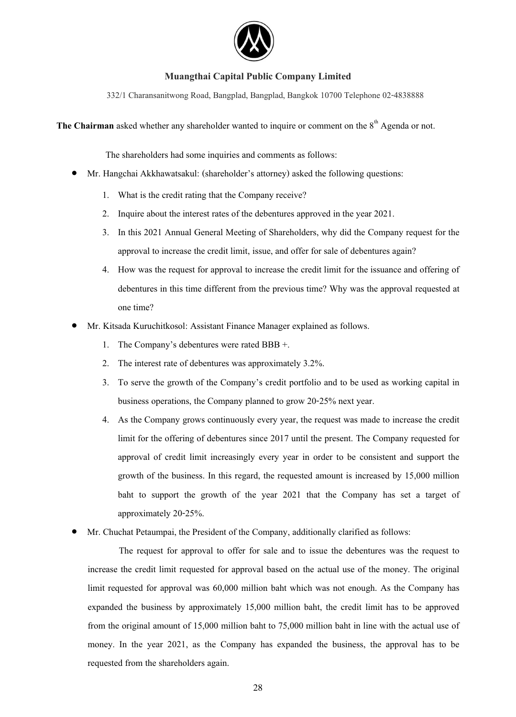

332/1 Charansanitwong Road, Bangplad, Bangplad, Bangkok 10700 Telephone 02-4838888

The Chairman asked whether any shareholder wanted to inquire or comment on the 8<sup>th</sup> Agenda or not.

The shareholders had some inquiries and comments as follows:

- $\bullet$  Mr. Hangchai Akkhawatsakul: (shareholder's attorney) asked the following questions:
	- 1. What is the credit rating that the Company receive?
	- 2. Inquire about the interest rates of the debentures approved in the year 2021.
	- 3. In this 2021 Annual General Meeting of Shareholders, why did the Company request for the approval to increase the credit limit, issue, and offer for sale of debentures again?
	- 4. How was the request for approval to increase the credit limit for the issuance and offering of debentures in this time different from the previous time? Why was the approval requested at one time?
- $\bullet$  Mr. Kitsada Kuruchitkosol: Assistant Finance Manager explained as follows.
	- 1. The Company's debentures were rated BBB +.
	- 2. The interest rate of debentures was approximately 3.2%.
	- 3. To serve the growth of the Company's credit portfolio and to be used as working capital in business operations, the Company planned to grow 20-25% next year.
	- 4. As the Company grows continuously every year, the request was made to increase the credit limit for the offering of debentures since 2017 until the present. The Company requested for approval of credit limit increasingly every year in order to be consistent and support the growth of the business. In this regard, the requested amount is increased by 15,000 million baht to support the growth of the year 2021 that the Company has set a target of approximately 20-25%.
- $\bullet$ Mr. Chuchat Petaumpai, the President of the Company, additionally clarified as follows:

The request for approval to offer for sale and to issue the debentures was the request to increase the credit limit requested for approval based on the actual use of the money. The original limit requested for approval was 60,000 million baht which was not enough. As the Company has expanded the business by approximately 15,000 million baht, the credit limit has to be approved from the original amount of 15,000 million baht to 75,000 million baht in line with the actual use of money. In the year 2021, as the Company has expanded the business, the approval has to be requested from the shareholders again.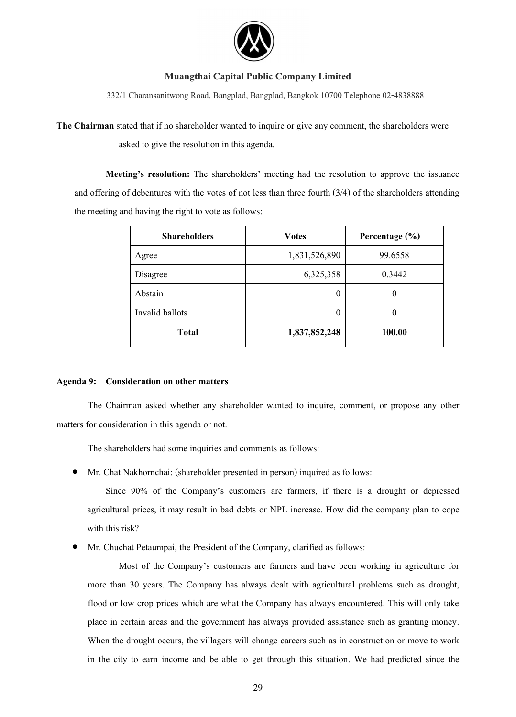

332/1 Charansanitwong Road, Bangplad, Bangplad, Bangkok 10700 Telephone 02-4838888

**The Chairman** stated that if no shareholder wanted to inquire or give any comment, the shareholders were asked to give the resolution in this agenda.

**Meeting's resolution:** The shareholders' meeting had the resolution to approve the issuance and offering of debentures with the votes of not less than three fourth (3/4) of the shareholders attending the meeting and having the right to vote as follows:

| <b>Shareholders</b> | <b>Votes</b>  | Percentage $(\% )$ |  |
|---------------------|---------------|--------------------|--|
| Agree               | 1,831,526,890 | 99.6558            |  |
| Disagree            | 6,325,358     | 0.3442             |  |
| Abstain             | 0             | 0                  |  |
| Invalid ballots     | 0             | $\theta$           |  |
| <b>Total</b>        | 1,837,852,248 | 100.00             |  |

# **Agenda 9: Consideration on other matters**

The Chairman asked whether any shareholder wanted to inquire, comment, or propose any other matters for consideration in this agenda or not.

The shareholders had some inquiries and comments as follows:

 $\bullet$ Mr. Chat Nakhornchai: (shareholder presented in person) inquired as follows:

Since 90% of the Company's customers are farmers, if there is a drought or depressed agricultural prices, it may result in bad debts or NPL increase. How did the company plan to cope with this risk?

 $\bullet$ Mr. Chuchat Petaumpai, the President of the Company, clarified as follows:

Most of the Company's customers are farmers and have been working in agriculture for more than 30 years. The Company has always dealt with agricultural problems such as drought, flood or low crop prices which are what the Company has always encountered. This will only take place in certain areas and the government has always provided assistance such as granting money. When the drought occurs, the villagers will change careers such as in construction or move to work in the city to earn income and be able to get through this situation. We had predicted since the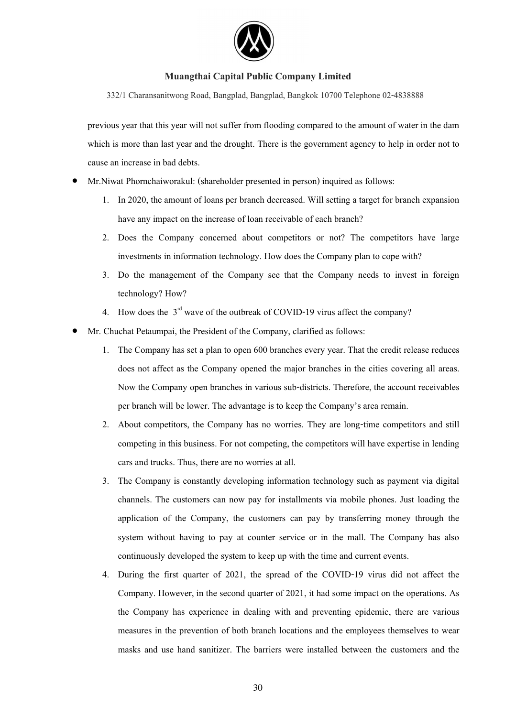

332/1 Charansanitwong Road, Bangplad, Bangplad, Bangkok 10700 Telephone 02-4838888

previous year that this year will not suffer from flooding compared to the amount of water in the dam which is more than last year and the drought. There is the government agency to help in order not to cause an increase in bad debts.

- $\bullet$  Mr.Niwat Phornchaiworakul: (shareholder presented in person) inquired as follows:
	- 1. In 2020, the amount of loans per branch decreased. Will setting a target for branch expansion have any impact on the increase of loan receivable of each branch?
	- 2. Does the Company concerned about competitors or not? The competitors have large investments in information technology. How does the Company plan to cope with?
	- 3. Do the management of the Company see that the Company needs to invest in foreign technology? How?
	- 4. How does the  $3<sup>rd</sup>$  wave of the outbreak of COVID-19 virus affect the company?
- $\bullet$  Mr. Chuchat Petaumpai, the President of the Company, clarified as follows:
	- 1. The Company has set a plan to open 600 branches every year. That the credit release reduces does not affect as the Company opened the major branches in the cities covering all areas. Now the Company open branches in various sub-districts. Therefore, the account receivables per branch will be lower. The advantage is to keep the Company's area remain.
	- 2. About competitors, the Company has no worries. They are long-time competitors and still competing in this business. For not competing, the competitors will have expertise in lending cars and trucks. Thus, there are no worries at all.
	- 3. The Company is constantly developing information technology such as payment via digital channels. The customers can now pay for installments via mobile phones. Just loading the application of the Company, the customers can pay by transferring money through the system without having to pay at counter service or in the mall. The Company has also continuously developed the system to keep up with the time and current events.
	- 4. During the first quarter of 2021, the spread of the COVID-19 virus did not affect the Company. However, in the second quarter of 2021, it had some impact on the operations. As the Company has experience in dealing with and preventing epidemic, there are various measures in the prevention of both branch locations and the employees themselves to wear masks and use hand sanitizer. The barriers were installed between the customers and the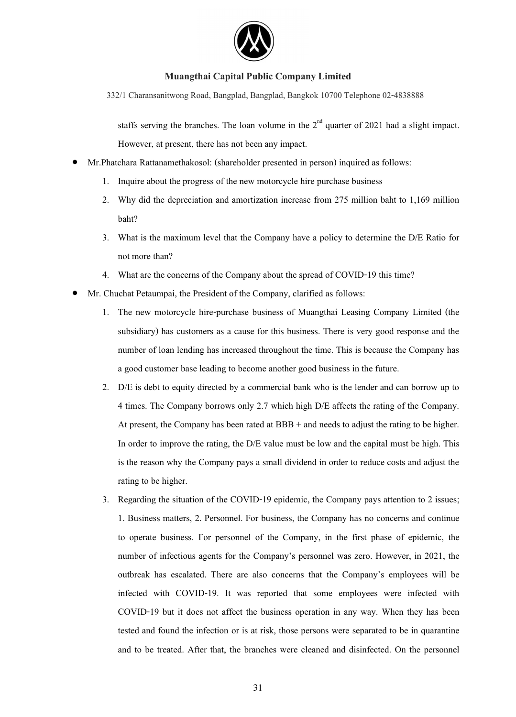

332/1 Charansanitwong Road, Bangplad, Bangplad, Bangkok 10700 Telephone 02-4838888

staffs serving the branches. The loan volume in the  $2<sup>nd</sup>$  quarter of 2021 had a slight impact. However, at present, there has not been any impact.

- $\bullet$  Mr.Phatchara Rattanamethakosol: (shareholder presented in person) inquired as follows:
	- 1. Inquire about the progress of the new motorcycle hire purchase business
	- 2. Why did the depreciation and amortization increase from 275 million baht to 1,169 million baht?
	- 3. What is the maximum level that the Company have a policy to determine the D/E Ratio for not more than?
	- 4. What are the concerns of the Company about the spread of COVID-19 this time?
- $\bullet$  Mr. Chuchat Petaumpai, the President of the Company, clarified as follows:
	- 1. The new motorcycle hire-purchase business of Muangthai Leasing Company Limited (the subsidiary) has customers as a cause for this business. There is very good response and the number of loan lending has increased throughout the time. This is because the Company has a good customer base leading to become another good business in the future.
	- 2. D/E is debt to equity directed by a commercial bank who is the lender and can borrow up to 4 times. The Company borrows only 2.7 which high D/E affects the rating of the Company. At present, the Company has been rated at BBB + and needs to adjust the rating to be higher. In order to improve the rating, the D/E value must be low and the capital must be high. This is the reason why the Company pays a small dividend in order to reduce costs and adjust the rating to be higher.
	- 3. Regarding the situation of the COVID-19 epidemic, the Company pays attention to 2 issues; 1. Business matters, 2. Personnel. For business, the Company has no concerns and continue to operate business. For personnel of the Company, in the first phase of epidemic, the number of infectious agents for the Company's personnel was zero. However, in 2021, the outbreak has escalated. There are also concerns that the Company's employees will be infected with COVID-19. It was reported that some employees were infected with COVID-19 but it does not affect the business operation in any way. When they has been tested and found the infection or is at risk, those persons were separated to be in quarantine and to be treated. After that, the branches were cleaned and disinfected. On the personnel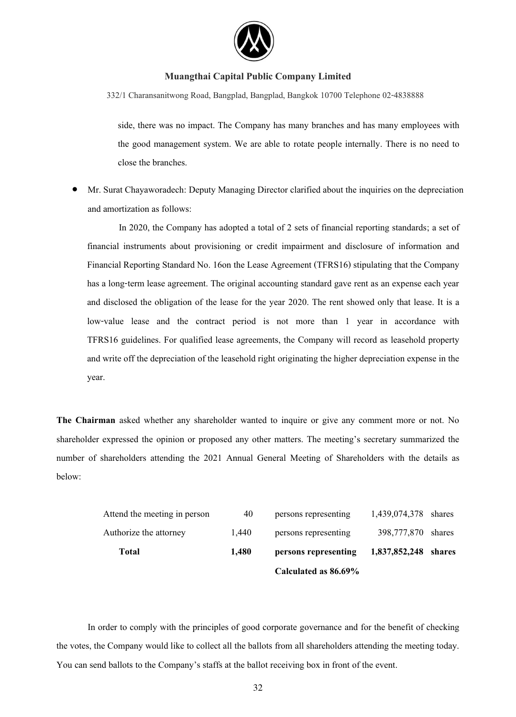

332/1 Charansanitwong Road, Bangplad, Bangplad, Bangkok 10700 Telephone 02-4838888

side, there was no impact. The Company has many branches and has many employees with the good management system. We are able to rotate people internally. There is no need to close the branches.

 $\bullet$  Mr. Surat Chayaworadech: Deputy Managing Director clarified about the inquiries on the depreciation and amortization as follows:

In 2020, the Company has adopted a total of 2 sets of financial reporting standards; a set of financial instruments about provisioning or credit impairment and disclosure of information and Financial Reporting Standard No. 16on the Lease Agreement (TFRS16) stipulating that the Company has a long-term lease agreement. The original accounting standard gave rent as an expense each year and disclosed the obligation of the lease for the year 2020. The rent showed only that lease. It is a low-value lease and the contract period is not more than 1 year in accordance with TFRS16 guidelines. For qualified lease agreements, the Company will record as leasehold property and write off the depreciation of the leasehold right originating the higher depreciation expense in the year.

**The Chairman** asked whether any shareholder wanted to inquire or give any comment more or not. No shareholder expressed the opinion or proposed any other matters. The meeting's secretary summarized the number of shareholders attending the 2021 Annual General Meeting of Shareholders with the details as below:

|                              |       | Calculated as 86.69% |                      |  |
|------------------------------|-------|----------------------|----------------------|--|
| Total                        | 1.480 | persons representing | 1,837,852,248 shares |  |
| Authorize the attorney       | 1.440 | persons representing | 398,777,870 shares   |  |
| Attend the meeting in person | 40    | persons representing | 1,439,074,378 shares |  |

In order to comply with the principles of good corporate governance and for the benefit of checking the votes, the Company would like to collect all the ballots from all shareholders attending the meeting today. You can send ballots to the Company's staffs at the ballot receiving box in front of the event.